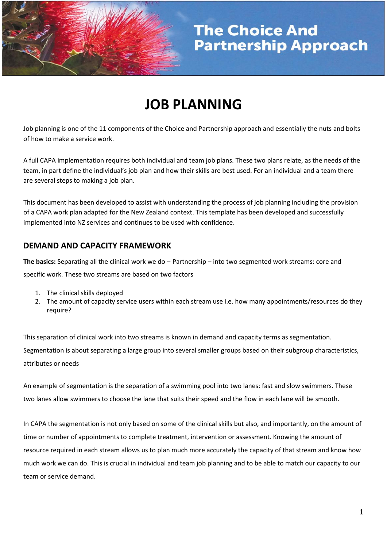

# **JOB PLANNING**

Job planning is one of the 11 components of the Choice and Partnership approach and essentially the nuts and bolts of how to make a service work.

A full CAPA implementation requires both individual and team job plans. These two plans relate, as the needs of the team, in part define the individual's job plan and how their skills are best used. For an individual and a team there are several steps to making a job plan.

This document has been developed to assist with understanding the process of job planning including the provision of a CAPA work plan adapted for the New Zealand context. This template has been developed and successfully implemented into NZ services and continues to be used with confidence.

## **DEMAND AND CAPACITY FRAMEWORK**

**The basics:** Separating all the clinical work we do – Partnership – into two segmented work streams: core and specific work. These two streams are based on two factors

- 1. The clinical skills deployed
- 2. The amount of capacity service users within each stream use i.e. how many appointments/resources do they require?

This separation of clinical work into two streams is known in demand and capacity terms as segmentation. Segmentation is about separating a large group into several smaller groups based on their subgroup characteristics, attributes or needs

An example of segmentation is the separation of a swimming pool into two lanes: fast and slow swimmers. These two lanes allow swimmers to choose the lane that suits their speed and the flow in each lane will be smooth.

In CAPA the segmentation is not only based on some of the clinical skills but also, and importantly, on the amount of time or number of appointments to complete treatment, intervention or assessment. Knowing the amount of resource required in each stream allows us to plan much more accurately the capacity of that stream and know how much work we can do. This is crucial in individual and team job planning and to be able to match our capacity to our team or service demand.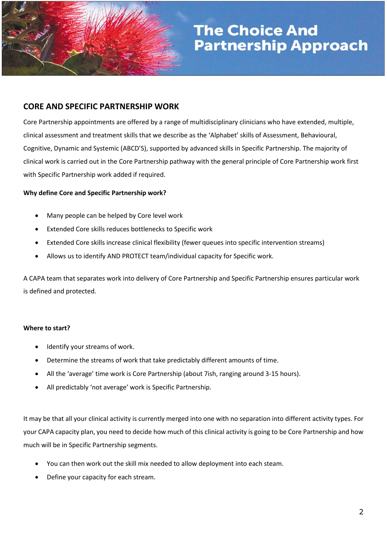

### **CORE AND SPECIFIC PARTNERSHIP WORK**

Core Partnership appointments are offered by a range of multidisciplinary clinicians who have extended, multiple, clinical assessment and treatment skills that we describe as the 'Alphabet' skills of Assessment, Behavioural, Cognitive, Dynamic and Systemic (ABCD'S), supported by advanced skills in Specific Partnership. The majority of clinical work is carried out in the Core Partnership pathway with the general principle of Core Partnership work first with Specific Partnership work added if required.

#### **Why define Core and Specific Partnership work?**

- Many people can be helped by Core level work
- Extended Core skills reduces bottlenecks to Specific work
- Extended Core skills increase clinical flexibility (fewer queues into specific intervention streams)
- Allows us to identify AND PROTECT team/individual capacity for Specific work.

A CAPA team that separates work into delivery of Core Partnership and Specific Partnership ensures particular work is defined and protected.

#### **Where to start?**

- Identify your streams of work.
- Determine the streams of work that take predictably different amounts of time.
- All the 'average' time work is Core Partnership (about 7ish, ranging around 3-15 hours).
- All predictably 'not average' work is Specific Partnership.

It may be that all your clinical activity is currently merged into one with no separation into different activity types. For your CAPA capacity plan, you need to decide how much of this clinical activity is going to be Core Partnership and how much will be in Specific Partnership segments.

- You can then work out the skill mix needed to allow deployment into each steam.
- Define your capacity for each stream.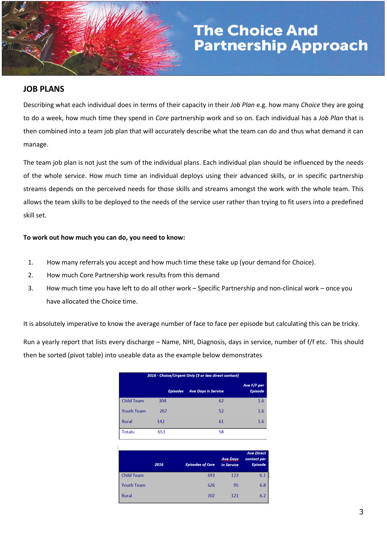

#### **JOB PLANS**

Describing what each individual does in terms of their capacity in their *Job Plan* e.g. how many *Choice* they are going to do a week, how much time they spend in *Core* partnership work and so on. Each individual has a *Job Plan* that is then combined into a team job plan that will accurately describe what the team can do and thus what demand it can manage.

The team job plan is not just the sum of the individual plans. Each individual plan should be influenced by the needs of the whole service. How much time an individual deploys using their advanced skills, or in specific partnership streams depends on the perceived needs for those skills and streams amongst the work with the whole team. This allows the team skills to be deployed to the needs of the service user rather than trying to fit users into a predefined skill set.

#### **To work out how much you can do, you need to know:**

- 1. How many referrals you accept and how much time these take up (your demand for Choice).
- 2. How much Core Partnership work results from this demand
- 3. How much time you have left to do all other work Specific Partnership and non-clinical work once you have allocated the Choice time.

It is absolutely imperative to know the average number of face to face per episode but calculating this can be tricky.

Run a yearly report that lists every discharge – Name, NHI, Diagnosis, days in service, number of f/f etc. This should then be sorted (pivot table) into useable data as the example below demonstrates

| 2016 - Choice/Urgent Only (3 or less direct contact) |                 |                            |                               |  |  |
|------------------------------------------------------|-----------------|----------------------------|-------------------------------|--|--|
|                                                      | <b>Episodes</b> | <b>Ave Days in Service</b> | Ave F/F per<br><b>Episode</b> |  |  |
| <b>Child Team</b>                                    | 304             | 62                         | 1.6                           |  |  |
| <b>Youth Team</b>                                    | 267             | 52                         | 1.6                           |  |  |
| <b>Rural</b>                                         | 142             | 61                         | 1.6                           |  |  |
| Totals:                                              | 653             | 58                         |                               |  |  |

|                   | 2016 | <b>Episodes of Care</b> | <b>Ave.Days</b><br>in Service | <b>Ave Direct</b><br>contact per<br><b>Episode</b> |
|-------------------|------|-------------------------|-------------------------------|----------------------------------------------------|
| <b>Child Team</b> |      | 693                     | 123                           | 6.1                                                |
| <b>Youth Team</b> |      | 626                     | 95                            | 6.8                                                |
| <b>Rural</b>      |      | 202                     | 121                           | 6.2                                                |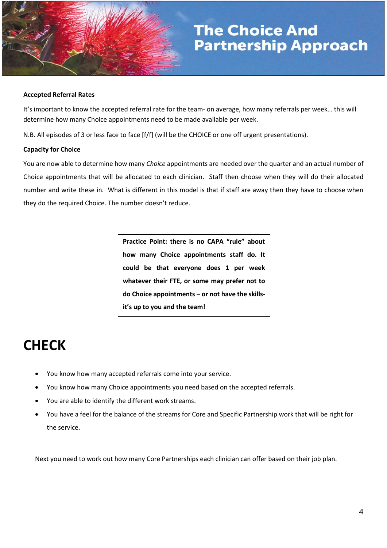

#### **Accepted Referral Rates**

It's important to know the accepted referral rate for the team- on average, how many referrals per week… this will determine how many Choice appointments need to be made available per week.

N.B. All episodes of 3 or less face to face [f/f] (will be the CHOICE or one off urgent presentations).

#### **Capacity for Choice**

You are now able to determine how many *Choice* appointments are needed over the quarter and an actual number of Choice appointments that will be allocated to each clinician. Staff then choose when they will do their allocated number and write these in. What is different in this model is that if staff are away then they have to choose when they do the required Choice. The number doesn't reduce.

> **Practice Point: there is no CAPA "rule" about how many Choice appointments staff do. It could be that everyone does 1 per week whatever their FTE, or some may prefer not to do Choice appointments – or not have the skillsit's up to you and the team!**

## **CHECK**

- You know how many accepted referrals come into your service.
- You know how many Choice appointments you need based on the accepted referrals.
- You are able to identify the different work streams.
- You have a feel for the balance of the streams for Core and Specific Partnership work that will be right for the service.

Next you need to work out how many Core Partnerships each clinician can offer based on their job plan.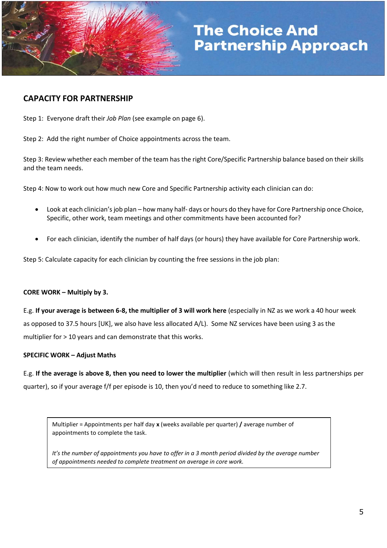

## **CAPACITY FOR PARTNERSHIP**

Step 1: Everyone draft their *Job Plan* (see example on page 6).

Step 2: Add the right number of Choice appointments across the team.

Step 3: Review whether each member of the team has the right Core/Specific Partnership balance based on their skills and the team needs.

Step 4: Now to work out how much new Core and Specific Partnership activity each clinician can do:

- Look at each clinician's job plan how many half- days or hours do they have for Core Partnership once Choice, Specific, other work, team meetings and other commitments have been accounted for?
- For each clinician, identify the number of half days (or hours) they have available for Core Partnership work.

Step 5: Calculate capacity for each clinician by counting the free sessions in the job plan:

## **CORE WORK – Multiply by 3.**

E.g. **If your average is between 6-8, the multiplier of 3 will work here** (especially in NZ as we work a 40 hour week as opposed to 37.5 hours [UK], we also have less allocated A/L). Some NZ services have been using 3 as the multiplier for > 10 years and can demonstrate that this works.

## **SPECIFIC WORK – Adjust Maths**

E.g. **If the average is above 8, then you need to lower the multiplier** (which will then result in less partnerships per quarter), so if your average f/f per episode is 10, then you'd need to reduce to something like 2.7.

Multiplier = Appointments per half day **x** (weeks available per quarter) **/** average number of appointments to complete the task.

*It's the number of appointments you have to offer in a 3 month period divided by the average number of appointments needed to complete treatment on average in core work.*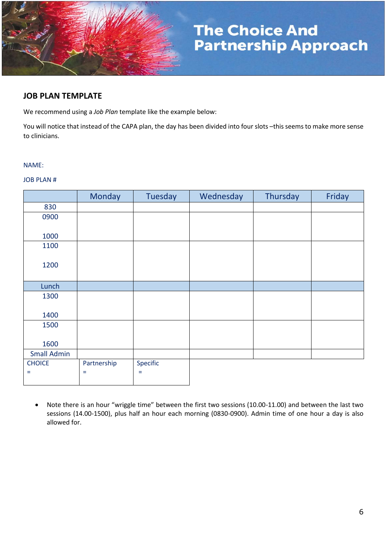

## **JOB PLAN TEMPLATE**

We recommend using a *Job Plan* template like the example below:

You will notice that instead of the CAPA plan, the day has been divided into four slots –this seems to make more sense to clinicians.

#### NAME:

#### JOB PLAN #

|                    | Monday      | Tuesday  | Wednesday | Thursday | Friday |
|--------------------|-------------|----------|-----------|----------|--------|
| 830                |             |          |           |          |        |
| 0900               |             |          |           |          |        |
|                    |             |          |           |          |        |
| 1000               |             |          |           |          |        |
| 1100               |             |          |           |          |        |
|                    |             |          |           |          |        |
| 1200               |             |          |           |          |        |
|                    |             |          |           |          |        |
| Lunch              |             |          |           |          |        |
| 1300               |             |          |           |          |        |
|                    |             |          |           |          |        |
| 1400               |             |          |           |          |        |
| 1500               |             |          |           |          |        |
|                    |             |          |           |          |        |
| 1600               |             |          |           |          |        |
| <b>Small Admin</b> |             |          |           |          |        |
| <b>CHOICE</b>      | Partnership | Specific |           |          |        |
| $=$                | $\equiv$    | $=$      |           |          |        |
|                    |             |          |           |          |        |

 Note there is an hour "wriggle time" between the first two sessions (10.00-11.00) and between the last two sessions (14.00-1500), plus half an hour each morning (0830-0900). Admin time of one hour a day is also allowed for.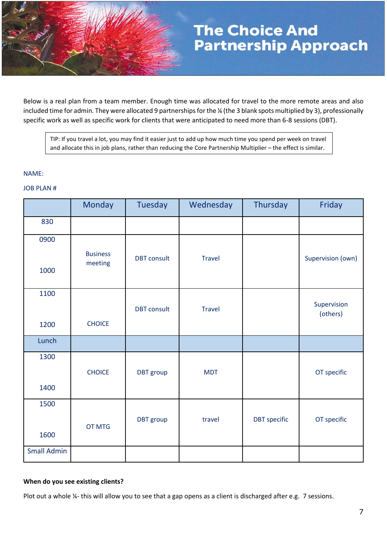Below is a real plan from a team member. Enough time was allocated for travel to the more remote areas and also included time for admin. They were allocated 9 partnerships for the ¼ (the 3 blank spots multiplied by 3), professionally specific work as well as specific work for clients that were anticipated to need more than 6-8 sessions (DBT).

TIP: If you travel a lot, you may find it easier just to add up how much time you spend per week on travel and allocate this in job plans, rather than reducing the Core Partnership Multiplier – the effect is similar.

#### NAME:

#### JOB PLAN #

|                    | <b>Monday</b>              | <b>Tuesday</b>     | Wednesday     | Thursday            | Friday            |
|--------------------|----------------------------|--------------------|---------------|---------------------|-------------------|
| 830                |                            |                    |               |                     |                   |
| 0900               |                            |                    |               |                     |                   |
| 1000               | <b>Business</b><br>meeting | <b>DBT</b> consult | <b>Travel</b> |                     | Supervision (own) |
| 1100               |                            |                    |               |                     | Supervision       |
|                    |                            | <b>DBT</b> consult | <b>Travel</b> |                     | (others)          |
| 1200               | <b>CHOICE</b>              |                    |               |                     |                   |
| Lunch              |                            |                    |               |                     |                   |
| 1300               |                            |                    |               |                     |                   |
|                    | <b>CHOICE</b>              | DBT group          | <b>MDT</b>    |                     | OT specific       |
| 1400               |                            |                    |               |                     |                   |
| 1500               |                            |                    |               |                     |                   |
|                    | <b>OT MTG</b>              | <b>DBT</b> group   | travel        | <b>DBT</b> specific | OT specific       |
| 1600               |                            |                    |               |                     |                   |
| <b>Small Admin</b> |                            |                    |               |                     |                   |

#### **When do you see existing clients?**

Plot out a whole ¼- this will allow you to see that a gap opens as a client is discharged after e.g. 7 sessions.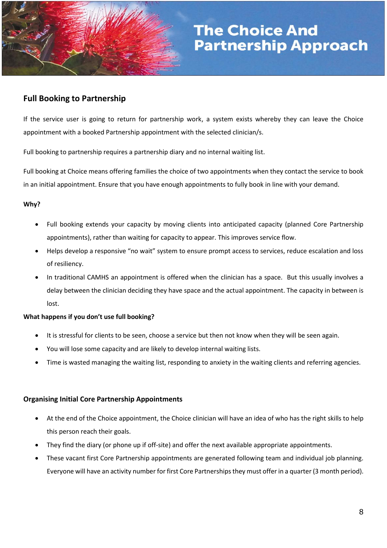

## **Full Booking to Partnership**

If the service user is going to return for partnership work, a system exists whereby they can leave the Choice appointment with a booked Partnership appointment with the selected clinician/s.

Full booking to partnership requires a partnership diary and no internal waiting list.

Full booking at Choice means offering families the choice of two appointments when they contact the service to book in an initial appointment. Ensure that you have enough appointments to fully book in line with your demand.

### **Why?**

- Full booking extends your capacity by moving clients into anticipated capacity (planned Core Partnership appointments), rather than waiting for capacity to appear. This improves service flow.
- Helps develop a responsive "no wait" system to ensure prompt access to services, reduce escalation and loss of resiliency.
- In traditional CAMHS an appointment is offered when the clinician has a space. But this usually involves a delay between the clinician deciding they have space and the actual appointment. The capacity in between is lost.

### **What happens if you don't use full booking?**

- It is stressful for clients to be seen, choose a service but then not know when they will be seen again.
- You will lose some capacity and are likely to develop internal waiting lists.
- Time is wasted managing the waiting list, responding to anxiety in the waiting clients and referring agencies.

### **Organising Initial Core Partnership Appointments**

- At the end of the Choice appointment, the Choice clinician will have an idea of who has the right skills to help this person reach their goals.
- They find the diary (or phone up if off-site) and offer the next available appropriate appointments.
- These vacant first Core Partnership appointments are generated following team and individual job planning. Everyone will have an activity number for first Core Partnerships they must offer in a quarter (3 month period).